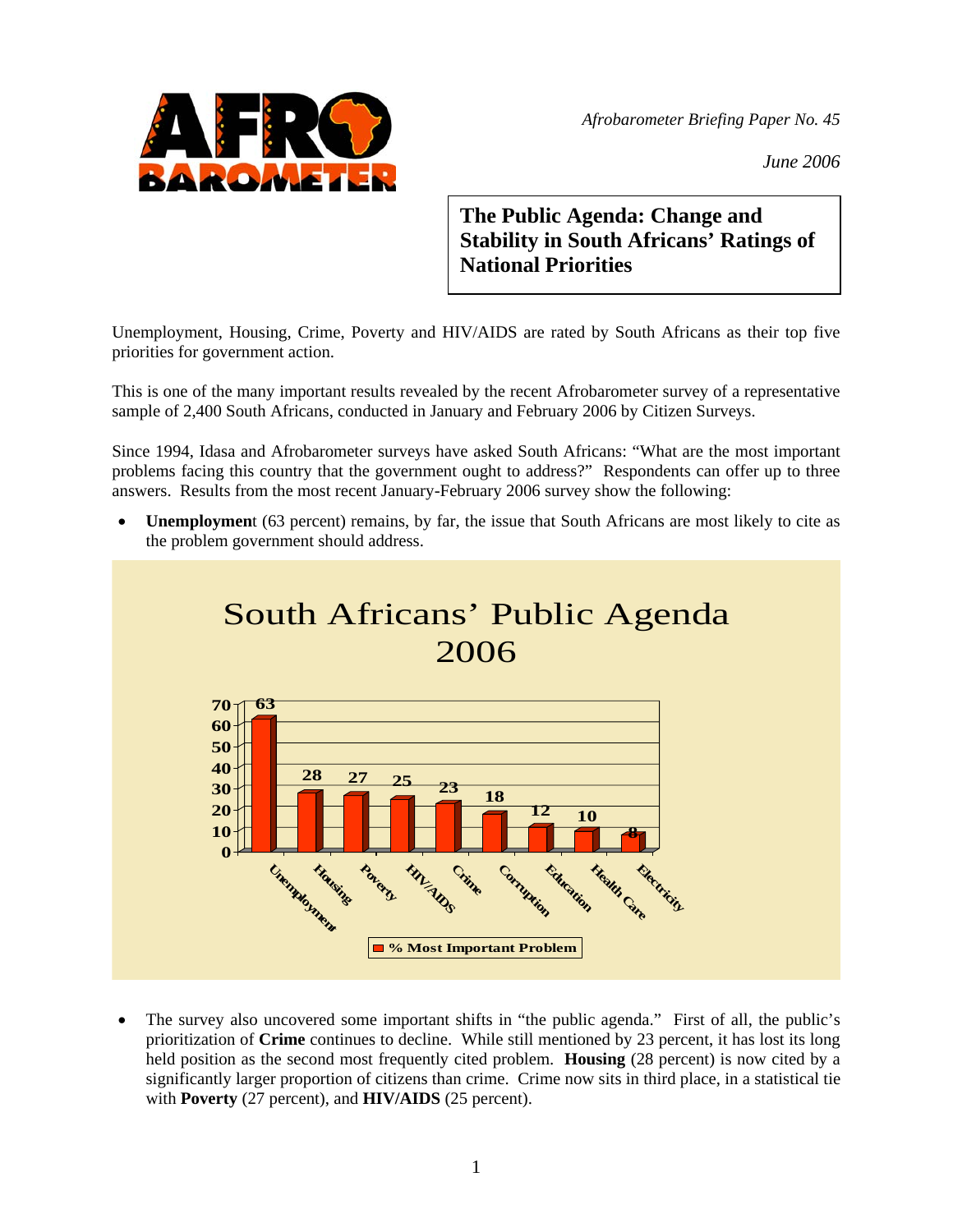

*Afrobarometer Briefing Paper No. 45* 

*June 2006* 

## **The Public Agenda: Change and Stability in South Africans' Ratings of National Priorities**

Unemployment, Housing, Crime, Poverty and HIV/AIDS are rated by South Africans as their top five priorities for government action.

This is one of the many important results revealed by the recent Afrobarometer survey of a representative sample of 2,400 South Africans, conducted in January and February 2006 by Citizen Surveys.

Since 1994, Idasa and Afrobarometer surveys have asked South Africans: "What are the most important problems facing this country that the government ought to address?" Respondents can offer up to three answers. Results from the most recent January-February 2006 survey show the following:

• **Unemploymen**t (63 percent) remains, by far, the issue that South Africans are most likely to cite as the problem government should address.



• The survey also uncovered some important shifts in "the public agenda." First of all, the public's prioritization of **Crime** continues to decline. While still mentioned by 23 percent, it has lost its long held position as the second most frequently cited problem. **Housing** (28 percent) is now cited by a significantly larger proportion of citizens than crime. Crime now sits in third place, in a statistical tie with **Poverty** (27 percent), and **HIV/AIDS** (25 percent).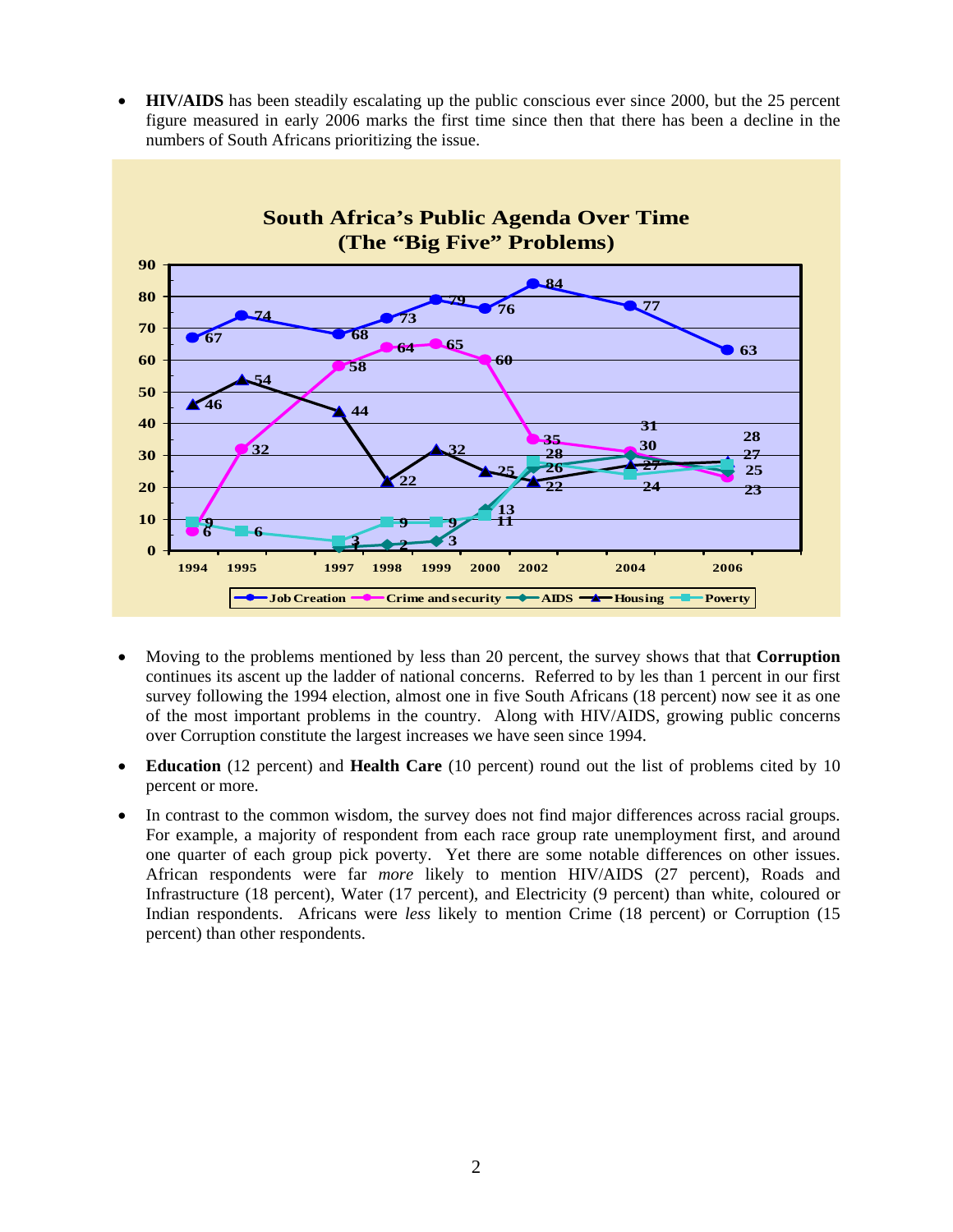• **HIV/AIDS** has been steadily escalating up the public conscious ever since 2000, but the 25 percent figure measured in early 2006 marks the first time since then that there has been a decline in the numbers of South Africans prioritizing the issue.



- Moving to the problems mentioned by less than 20 percent, the survey shows that that **Corruption** continues its ascent up the ladder of national concerns. Referred to by les than 1 percent in our first survey following the 1994 election, almost one in five South Africans (18 percent) now see it as one of the most important problems in the country. Along with HIV/AIDS, growing public concerns over Corruption constitute the largest increases we have seen since 1994.
- **Education** (12 percent) and **Health Care** (10 percent) round out the list of problems cited by 10 percent or more.
- In contrast to the common wisdom, the survey does not find major differences across racial groups. For example, a majority of respondent from each race group rate unemployment first, and around one quarter of each group pick poverty. Yet there are some notable differences on other issues. African respondents were far *more* likely to mention HIV/AIDS (27 percent), Roads and Infrastructure (18 percent), Water (17 percent), and Electricity (9 percent) than white, coloured or Indian respondents. Africans were *less* likely to mention Crime (18 percent) or Corruption (15 percent) than other respondents.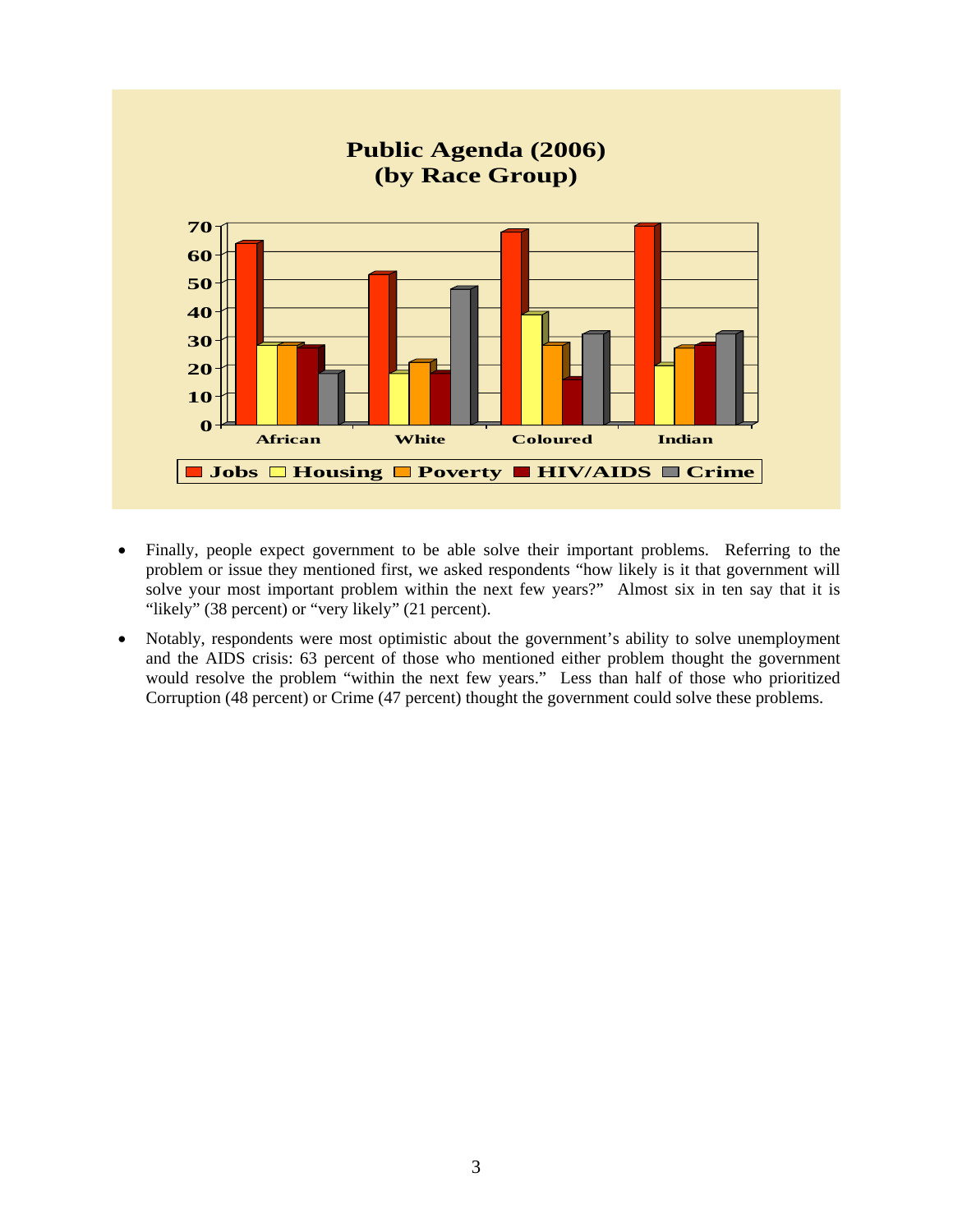

- Finally, people expect government to be able solve their important problems. Referring to the problem or issue they mentioned first, we asked respondents "how likely is it that government will solve your most important problem within the next few years?" Almost six in ten say that it is "likely" (38 percent) or "very likely" (21 percent).
- Notably, respondents were most optimistic about the government's ability to solve unemployment and the AIDS crisis: 63 percent of those who mentioned either problem thought the government would resolve the problem "within the next few years." Less than half of those who prioritized Corruption (48 percent) or Crime (47 percent) thought the government could solve these problems.